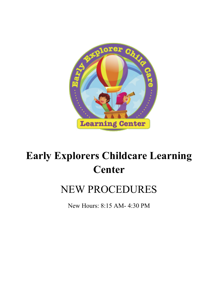

# **Early Explorers Childcare Learning Center**

## NEW PROCEDURES

New Hours: 8:15 AM- 4:30 PM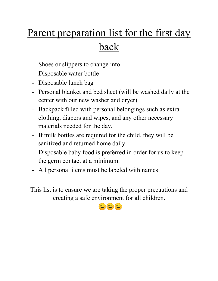# Parent preparation list for the first day back

- Shoes or slippers to change into
- Disposable water bottle
- Disposable lunch bag
- Personal blanket and bed sheet (will be washed daily at the center with our new washer and dryer)
- Backpack filled with personal belongings such as extra clothing, diapers and wipes, and any other necessary materials needed for the day.
- If milk bottles are required for the child, they will be sanitized and returned home daily.
- Disposable baby food is preferred in order for us to keep the germ contact at a minimum.
- All personal items must be labeled with names

This list is to ensure we are taking the proper precautions and creating a safe environment for all children.

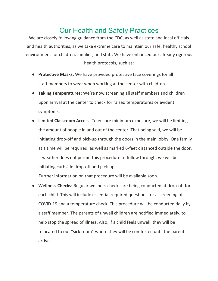### Our Health and Safety Practices

We are closely following guidance from the CDC, as well as state and local officials and health authorities, as we take extreme care to maintain our safe, healthy school environment for children, families, and staff. We have enhanced our already rigorous health protocols, such as:

- **Protective Masks:** We have provided protective face coverings for all staff members to wear when working at the center with children.
- **Taking Temperatures:** We're now screening all staff members and children upon arrival at the center to check for raised temperatures or evident symptoms.
- **Limited Classroom Access:** To ensure minimum exposure, we will be limiting the amount of people in and out of the center. That being said, we will be initiating drop-off and pick-up through the doors in the main lobby. One family at a time will be required, as well as marked 6-feet distanced outside the door. If weather does not permit this procedure to follow through, we will be initiating curbside drop-off and pick-up.

Further information on that procedure will be available soon.

● **Wellness Checks:** Regular wellness checks are being conducted at drop-off for each child. This will include essential required questions for a screening of COVID-19 and a temperature check. This procedure will be conducted daily by a staff member. The parents of unwell children are notified immediately, to help stop the spread of illness. Also, if a child feels unwell, they will be relocated to our "sick room" where they will be comforted until the parent arrives.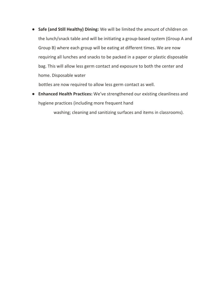● **Safe (and Still Healthy) Dining:** We will be limited the amount of children on the lunch/snack table and will be initiating a group-based system (Group A and Group B) where each group will be eating at different times. We are now requiring all lunches and snacks to be packed in a paper or plastic disposable bag. This will allow less germ contact and exposure to both the center and home. Disposable water

bottles are now required to allow less germ contact as well.

● **Enhanced Health Practices:** We've strengthened our existing cleanliness and hygiene practices (including more frequent hand

washing; cleaning and sanitizing surfaces and items in classrooms).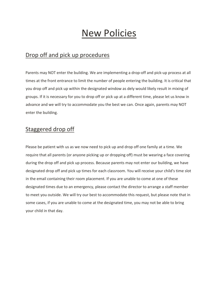### New Policies

#### Drop off and pick up procedures

Parents may NOT enter the building. We are implementing a drop-off and pick-up process at all times at the front entrance to limit the number of people entering the building. It is critical that you drop off and pick up within the designated window as dely would likely result in mixing of groups. If it is necessary for you to drop off or pick up at a different time, please let us know in advance and we will try to accommodate you the best we can. Once again, parents may NOT enter the building.

#### Staggered drop off

Please be patient with us as we now need to pick up and drop off one family at a time. We require that all parents (or anyone picking up or dropping off) must be wearing a face covering during the drop off and pick up process. Because parents may not enter our building, we have designated drop off and pick up times for each classroom. You will receive your child's time slot in the email containing their room placement. If you are unable to come at one of these designated times due to an emergency, please contact the director to arrange a staff member to meet you outside. We will try our best to accommodate this request, but please note that in some cases, if you are unable to come at the designated time, you may not be able to bring your child in that day.